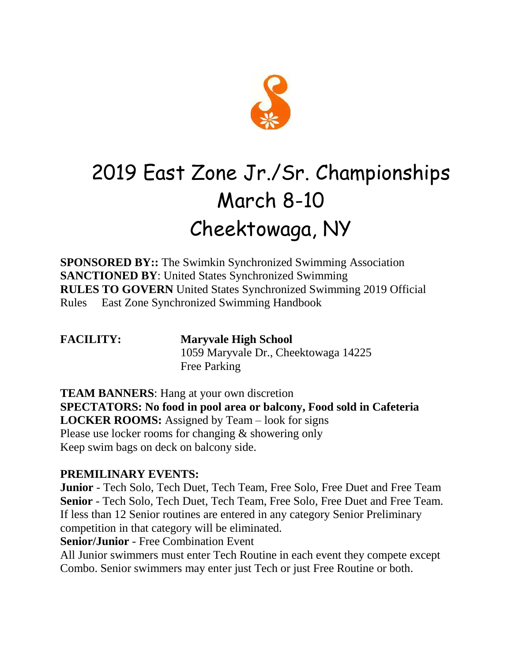

## 2019 East Zone Jr./Sr. Championships March 8-10 Cheektowaga, NY

**SPONSORED BY::** The Swimkin Synchronized Swimming Association **SANCTIONED BY**: United States Synchronized Swimming **RULES TO GOVERN** United States Synchronized Swimming 2019 Official Rules East Zone Synchronized Swimming Handbook

**FACILITY: Maryvale High School**  1059 Maryvale Dr., Cheektowaga 14225 Free Parking

**TEAM BANNERS:** Hang at your own discretion **SPECTATORS: No food in pool area or balcony, Food sold in Cafeteria LOCKER ROOMS:** Assigned by Team – look for signs Please use locker rooms for changing & showering only Keep swim bags on deck on balcony side.

## **PREMILINARY EVENTS:**

**Junior** - Tech Solo, Tech Duet, Tech Team, Free Solo, Free Duet and Free Team **Senior** - Tech Solo, Tech Duet, Tech Team, Free Solo, Free Duet and Free Team. If less than 12 Senior routines are entered in any category Senior Preliminary competition in that category will be eliminated.

**Senior/Junior** - Free Combination Event

All Junior swimmers must enter Tech Routine in each event they compete except Combo. Senior swimmers may enter just Tech or just Free Routine or both.